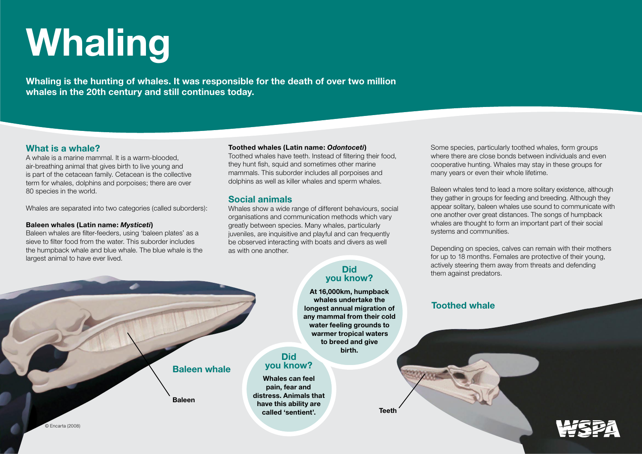# **Whaling**

**Whaling is the hunting of whales. It was responsible for the death of over two million whales in the 20th century and still continues today.** 

**Baleen whale**

**Baleen**

## **What is a whale?**

A whale is a marine mammal. It is a warm-blooded, air-breathing animal that gives birth to live young and is part of the cetacean family. Cetacean is the collective term for whales, dolphins and porpoises; there are over 80 species in the world.

Whales are separated into two categories (called suborders):

#### **Baleen whales (Latin name:** *Mysticeti***)**

Baleen whales are filter-feeders, using 'baleen plates' as a sieve to filter food from the water. This suborder includes the humpback whale and blue whale. The blue whale is the largest animal to have ever lived.

#### **Toothed whales (Latin name:** *Odontoceti***)**

Toothed whales have teeth. Instead of filtering their food, they hunt fish, squid and sometimes other marine mammals. This suborder includes all porpoises and dolphins as well as killer whales and sperm whales.

## **Social animals**

Whales show a wide range of different behaviours, social organisations and communication methods which vary greatly between species. Many whales, particularly juveniles, are inquisitive and playful and can frequently be observed interacting with boats and divers as well as with one another.

## **Did you know?**

**At 16,000km, humpback whales undertake the longest annual migration of any mammal from their cold water feeling grounds to warmer tropical waters to breed and give birth.**

**Teeth**

## **Did you know?**

**Whales can feel pain, fear and distress. Animals that have this ability are called 'sentient'.** 

Some species, particularly toothed whales, form groups where there are close bonds between individuals and even cooperative hunting. Whales may stay in these groups for many years or even their whole lifetime.

Baleen whales tend to lead a more solitary existence, although they gather in groups for feeding and breeding. Although they appear solitary, baleen whales use sound to communicate with one another over great distances. The songs of humpback whales are thought to form an important part of their social systems and communities.

Depending on species, calves can remain with their mothers for up to 18 months. Females are protective of their young, actively steering them away from threats and defending them against predators.

# **Toothed whale**

© Encarta (2008)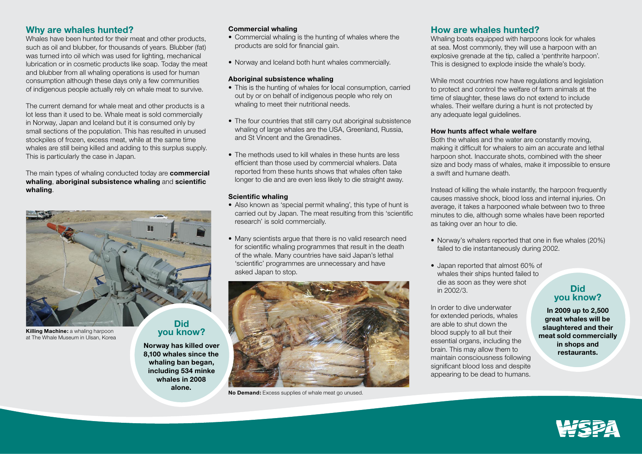## **Why are whales hunted?**

Whales have been hunted for their meat and other products, such as oil and blubber, for thousands of years. Blubber (fat) was turned into oil which was used for lighting, mechanical lubrication or in cosmetic products like soap. Today the meat and blubber from all whaling operations is used for human consumption although these days only a few communities of indigenous people actually rely on whale meat to survive.

The current demand for whale meat and other products is a lot less than it used to be. Whale meat is sold commercially in Norway, Japan and Iceland but it is consumed only by small sections of the population. This has resulted in unused stockpiles of frozen, excess meat, while at the same time whales are still being killed and adding to this surplus supply. This is particularly the case in Japan.

The main types of whaling conducted today are **commercial whaling**, **aboriginal subsistence whaling** and **scientific whaling**.



**you know? Norway has killed over 8,100 whales since the whaling ban began, including 534 minke whales in 2008 alone.**

**Killing Machine:** a whaling harpoon at The Whale Museum in Ulsan, Korea

#### **Commercial whaling**

- Commercial whaling is the hunting of whales where the products are sold for financial gain.
- Norway and Iceland both hunt whales commercially.

#### **Aboriginal subsistence whaling**

- This is the hunting of whales for local consumption, carried out by or on behalf of indigenous people who rely on whaling to meet their nutritional needs.
- The four countries that still carry out aboriginal subsistence whaling of large whales are the USA, Greenland, Russia, and St Vincent and the Grenadines.
- The methods used to kill whales in these hunts are less efficient than those used by commercial whalers. Data reported from these hunts shows that whales often take longer to die and are even less likely to die straight away.

#### **Scientific whaling**

- Also known as 'special permit whaling', this type of hunt is carried out by Japan. The meat resulting from this 'scientific research' is sold commercially.
- Many scientists arque that there is no valid research need for scientific whaling programmes that result in the death of the whale. Many countries have said Japan's lethal 'scientific' programmes are unnecessary and have asked Japan to stop.



**No Demand:** Excess supplies of whale meat go unused.

## **How are whales hunted?**

Whaling boats equipped with harpoons look for whales at sea. Most commonly, they will use a harpoon with an explosive grenade at the tip, called a 'penthrite harpoon'. This is designed to explode inside the whale's body.

While most countries now have regulations and legislation to protect and control the welfare of farm animals at the time of slaughter, these laws do not extend to include whales. Their welfare during a hunt is not protected by any adequate legal guidelines.

#### **How hunts affect whale welfare**

Both the whales and the water are constantly moving, making it difficult for whalers to aim an accurate and lethal harpoon shot. Inaccurate shots, combined with the sheer size and body mass of whales, make it impossible to ensure a swift and humane death.

Instead of killing the whale instantly, the harpoon frequently causes massive shock, blood loss and internal injuries. On average, it takes a harpooned whale between two to three minutes to die, although some whales have been reported as taking over an hour to die.

- Norway's whalers reported that one in five whales (20%) failed to die instantaneously during 2002.
- Japan reported that almost 60% of whales their ships hunted failed to die as soon as they were shot in 2002/3.

In order to dive underwater for extended periods, whales are able to shut down the blood supply to all but their essential organs, including the brain. This may allow them to maintain consciousness following significant blood loss and despite appearing to be dead to humans.

## **Did you know?**

**In 2009 up to 2,500 great whales will be slaughtered and their meat sold commercially in shops and restaurants.**

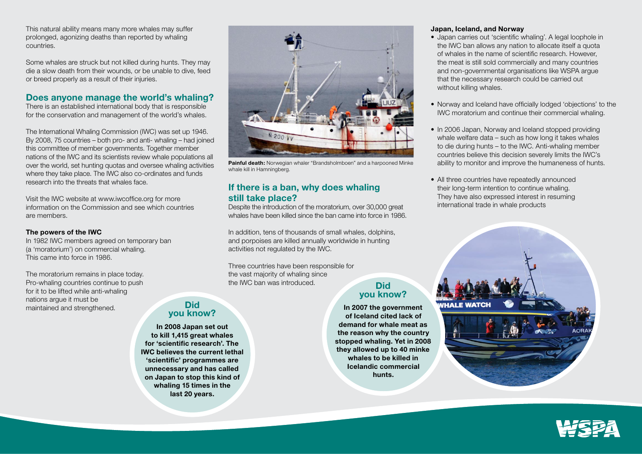This natural ability means many more whales may suffer prolonged, agonizing deaths than reported by whaling countries.

Some whales are struck but not killed during hunts. They may die a slow death from their wounds, or be unable to dive, feed or breed properly as a result of their injuries.

## **Does anyone manage the world's whaling?**

There is an established international body that is responsible for the conservation and management of the world's whales.

The International Whaling Commission (IWC) was set up 1946. By 2008, 75 countries – both pro- and anti- whaling – had joined this committee of member governments. Together member nations of the IWC and its scientists review whale populations all over the world, set hunting quotas and oversee whaling activities where they take place. The IWC also co-ordinates and funds research into the threats that whales face.

> **Did you know? In 2008 Japan set out to kill 1,415 great whales for 'scientific research'. The IWC believes the current lethal 'scientific' programmes are unnecessary and has called on Japan to stop this kind of whaling 15 times in the last 20 years.**

Visit the IWC website at www.iwcoffice.org for more information on the Commission and see which countries are members.

#### **The powers of the IWC**

In 1982 IWC members agreed on temporary ban (a 'moratorium') on commercial whaling. This came into force in 1986.

The moratorium remains in place today. Pro-whaling countries continue to push for it to be lifted while anti-whaling nations argue it must be maintained and strengthened.



**Painful death:** Norwegian whaler "Brandsholmboen" and a harpooned Minke whale kill in Hamningberg.

## **If there is a ban, why does whaling still take place?**

Despite the introduction of the moratorium, over 30,000 great whales have been killed since the ban came into force in 1986.

In addition, tens of thousands of small whales, dolphins, and porpoises are killed annually worldwide in hunting activities not regulated by the IWC.

Three countries have been responsible for the vast majority of whaling since the IWC ban was introduced.

# **Did you know?**

**In 2007 the government of Iceland cited lack of demand for whale meat as the reason why the country stopped whaling. Yet in 2008 they allowed up to 40 minke whales to be killed in Icelandic commercial hunts.**

#### **Japan, Iceland, and Norway**

- Japan carries out 'scientific whaling'. A legal loophole in the IWC ban allows any nation to allocate itself a quota of whales in the name of scientific research. However, the meat is still sold commercially and many countries and non-governmental organisations like WSPA argue that the necessary research could be carried out without killing whales.
- Norway and Iceland have officially lodged 'objections' to the IWC moratorium and continue their commercial whaling.
- In 2006 Japan, Norway and Iceland stopped providing whale welfare data – such as how long it takes whales to die during hunts – to the IWC. Anti-whaling member countries believe this decision severely limits the IWC's ability to monitor and improve the humaneness of hunts.
- All three countries have repeatedly announced their long-term intention to continue whaling. They have also expressed interest in resuming international trade in whale products